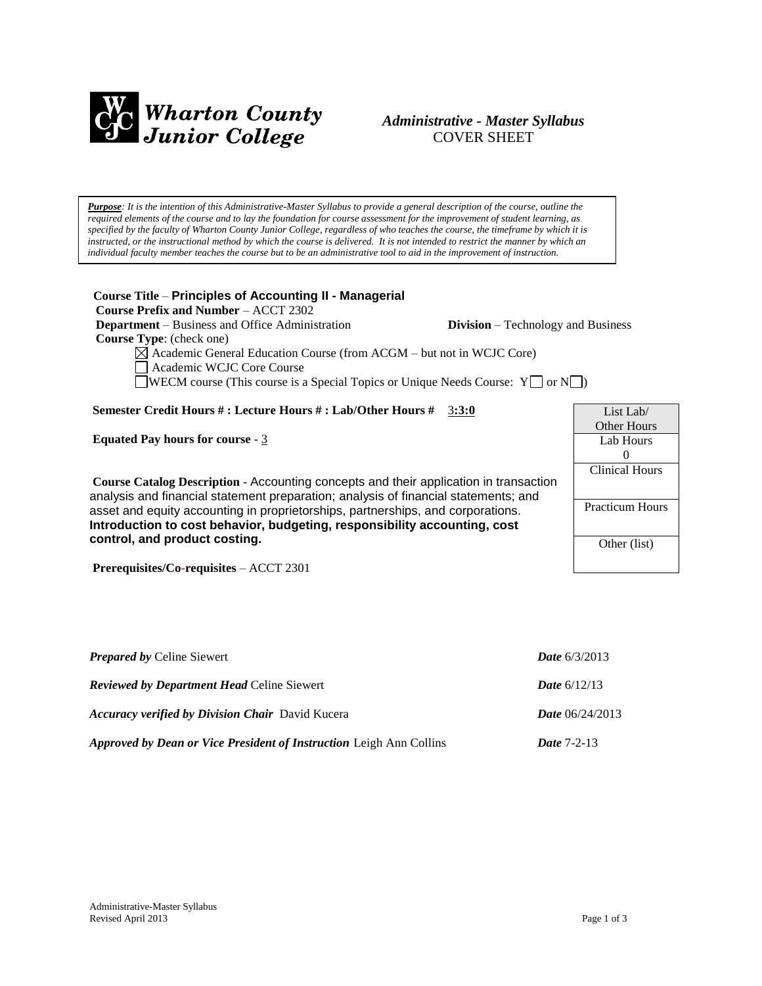

# *Administrative - Master Syllabus*  COVER SHEET

*Purpose: It is the intention of this Administrative-Master Syllabus to provide a general description of the course, outline the required elements of the course and to lay the foundation for course assessment for the improvement of student learning, as specified by the faculty of Wharton County Junior College, regardless of who teaches the course, the timeframe by which it is instructed, or the instructional method by which the course is delivered. It is not intended to restrict the manner by which an individual faculty member teaches the course but to be an administrative tool to aid in the improvement of instruction.*

**Course Title** – **Principles of Accounting II - Managerial Course Prefix and Number** – ACCT 2302 **Department** – Business and Office Administration **Division** – Technology and Business  **Course Type**: (check one)  $\boxtimes$  Academic General Education Course (from ACGM – but not in WCJC Core) Academic WCJC Core Course WECM course (This course is a Special Topics or Unique Needs Course:  $Y \Box$  or  $N \Box$ ) **Semester Credit Hours # : Lecture Hours # : Lab/Other Hours #** 3**:3:0 Equated Pay hours for course** - 3 **Course Catalog Description** - Accounting concepts and their application in transaction analysis and financial statement preparation; analysis of financial statements; and asset and equity accounting in proprietorships, partnerships, and corporations. **Introduction to cost behavior, budgeting, responsibility accounting, cost control, and product costing.** 0

**Prerequisites/Co-requisites** – ACCT 2301

| <b>Prepared by Celine Siewert</b>                                          | <b>Date</b> $6/3/2013$   |
|----------------------------------------------------------------------------|--------------------------|
| <b>Reviewed by Department Head Celine Siewert</b>                          | <b>Date</b> $6/12/13$    |
| <b>Accuracy verified by Division Chair</b> David Kucera                    | <i>Date</i> $06/24/2013$ |
| <b>Approved by Dean or Vice President of Instruction Leigh Ann Collins</b> | <b>Date</b> $7-2-13$     |

| List Lab $/$           |
|------------------------|
| Other Hours            |
| Lab Hours              |
| $\mathbf{0}$           |
| Clinical Hours         |
|                        |
| <b>Practicum Hours</b> |
|                        |
| Other (list)           |
|                        |
|                        |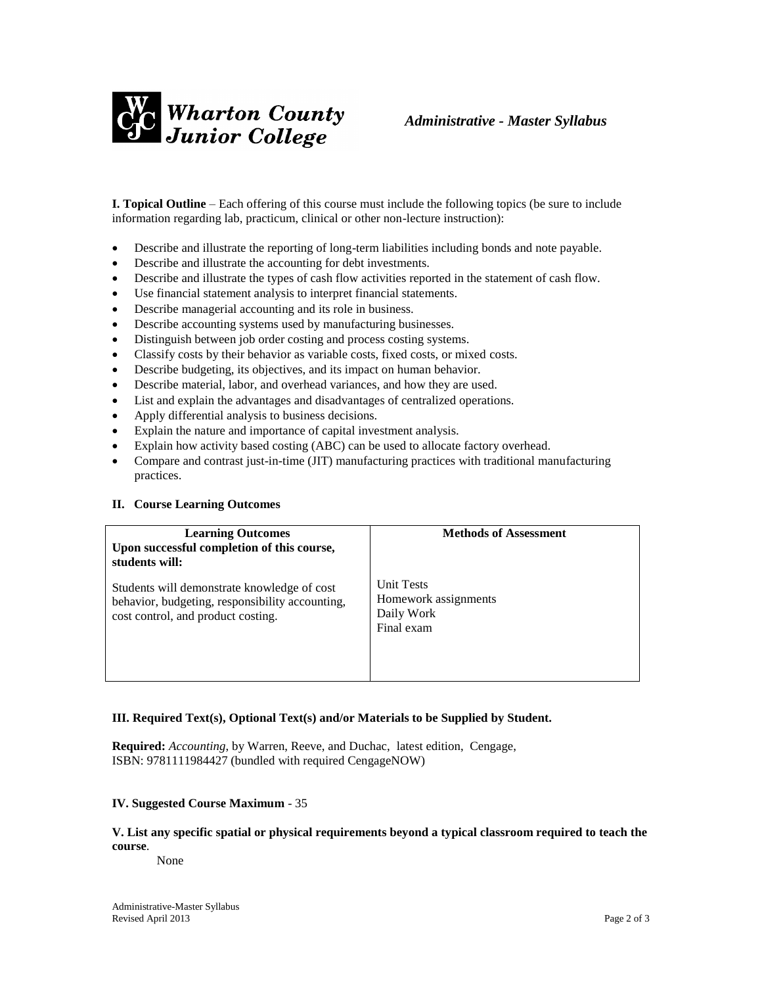

**I. Topical Outline** – Each offering of this course must include the following topics (be sure to include information regarding lab, practicum, clinical or other non-lecture instruction):

- Describe and illustrate the reporting of long-term liabilities including bonds and note payable.
- Describe and illustrate the accounting for debt investments.
- Describe and illustrate the types of cash flow activities reported in the statement of cash flow.
- Use financial statement analysis to interpret financial statements.
- Describe managerial accounting and its role in business.
- Describe accounting systems used by manufacturing businesses.
- Distinguish between job order costing and process costing systems.
- Classify costs by their behavior as variable costs, fixed costs, or mixed costs.
- Describe budgeting, its objectives, and its impact on human behavior.
- Describe material, labor, and overhead variances, and how they are used.
- List and explain the advantages and disadvantages of centralized operations.
- Apply differential analysis to business decisions.
- Explain the nature and importance of capital investment analysis.
- Explain how activity based costing (ABC) can be used to allocate factory overhead.
- Compare and contrast just-in-time (JIT) manufacturing practices with traditional manufacturing practices.

#### **II. Course Learning Outcomes**

| <b>Learning Outcomes</b><br>Upon successful completion of this course,<br>students will:                                             | <b>Methods of Assessment</b>                                          |
|--------------------------------------------------------------------------------------------------------------------------------------|-----------------------------------------------------------------------|
| Students will demonstrate knowledge of cost<br>behavior, budgeting, responsibility accounting,<br>cost control, and product costing. | <b>Unit Tests</b><br>Homework assignments<br>Daily Work<br>Final exam |

#### **III. Required Text(s), Optional Text(s) and/or Materials to be Supplied by Student.**

**Required:** *Accounting*, by Warren, Reeve, and Duchac, latest edition, Cengage, ISBN: 9781111984427 (bundled with required CengageNOW)

### **IV. Suggested Course Maximum** - 35

## **V. List any specific spatial or physical requirements beyond a typical classroom required to teach the course**.

None